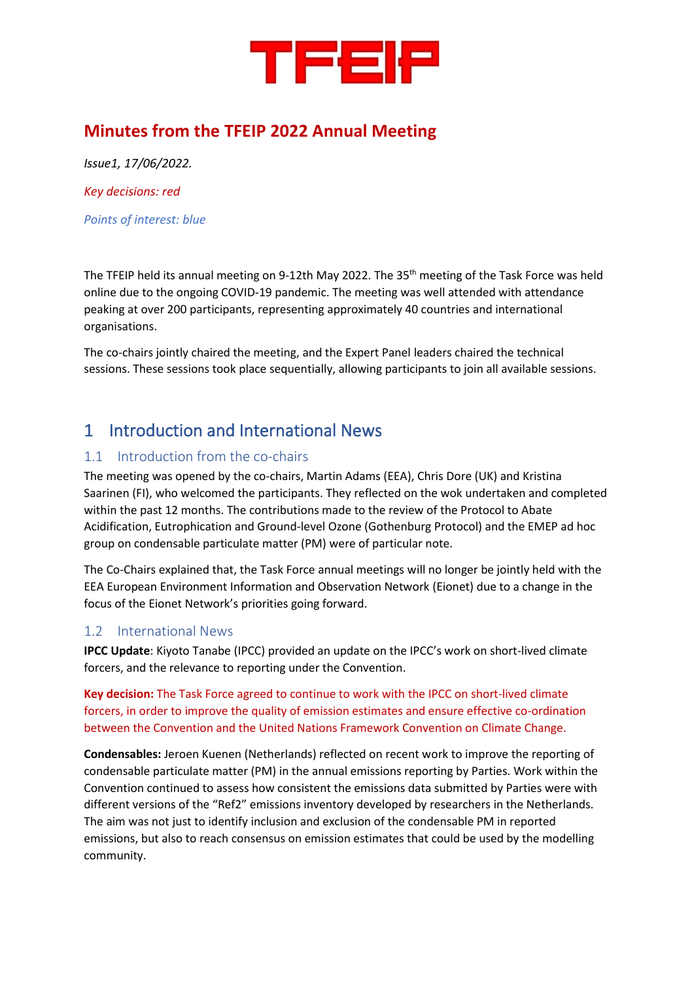

# **Minutes from the TFEIP 2022 Annual Meeting**

*Issue1, 17/06/2022. Key decisions: red*

*Points of interest: blue*

The TFEIP held its annual meeting on 9-12th May 2022. The 35<sup>th</sup> meeting of the Task Force was held online due to the ongoing COVID-19 pandemic. The meeting was well attended with attendance peaking at over 200 participants, representing approximately 40 countries and international organisations.

The co-chairs jointly chaired the meeting, and the Expert Panel leaders chaired the technical sessions. These sessions took place sequentially, allowing participants to join all available sessions.

# 1 Introduction and International News

### 1.1 Introduction from the co-chairs

The meeting was opened by the co-chairs, Martin Adams (EEA), Chris Dore (UK) and Kristina Saarinen (FI), who welcomed the participants. They reflected on the wok undertaken and completed within the past 12 months. The contributions made to the review of the Protocol to Abate Acidification, Eutrophication and Ground-level Ozone (Gothenburg Protocol) and the EMEP ad hoc group on condensable particulate matter (PM) were of particular note.

The Co-Chairs explained that, the Task Force annual meetings will no longer be jointly held with the EEA European Environment Information and Observation Network (Eionet) due to a change in the focus of the Eionet Network's priorities going forward.

### 1.2 International News

**IPCC Update**: Kiyoto Tanabe (IPCC) provided an update on the IPCC's work on short-lived climate forcers, and the relevance to reporting under the Convention.

**Key decision:** The Task Force agreed to continue to work with the IPCC on short-lived climate forcers, in order to improve the quality of emission estimates and ensure effective co-ordination between the Convention and the United Nations Framework Convention on Climate Change.

**Condensables:** Jeroen Kuenen (Netherlands) reflected on recent work to improve the reporting of condensable particulate matter (PM) in the annual emissions reporting by Parties. Work within the Convention continued to assess how consistent the emissions data submitted by Parties were with different versions of the "Ref2" emissions inventory developed by researchers in the Netherlands. The aim was not just to identify inclusion and exclusion of the condensable PM in reported emissions, but also to reach consensus on emission estimates that could be used by the modelling community.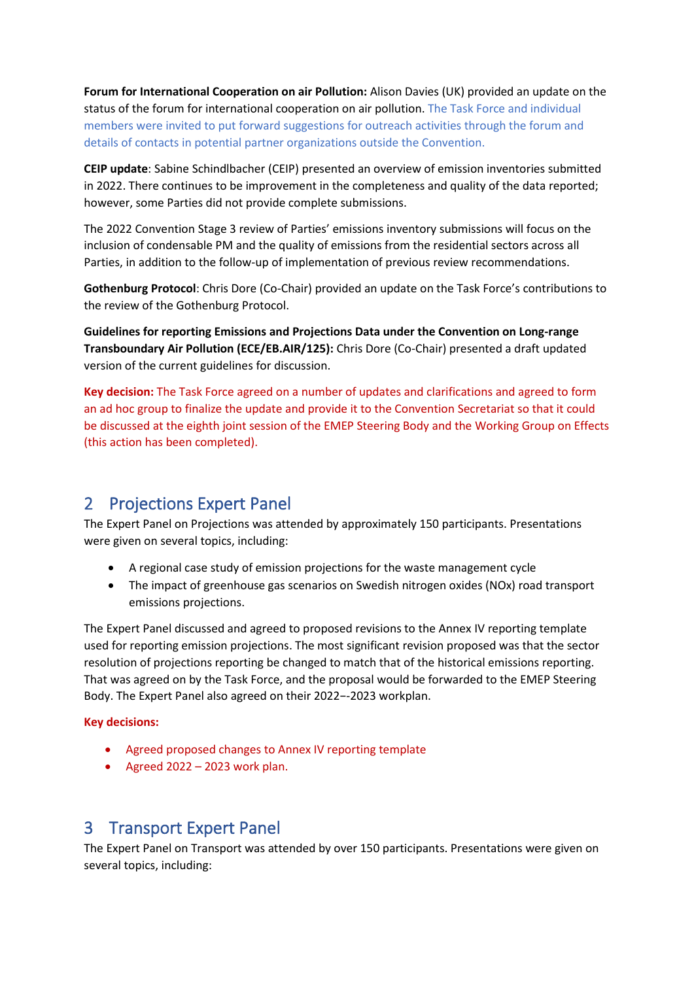**Forum for International Cooperation on air Pollution:** Alison Davies (UK) provided an update on the status of the forum for international cooperation on air pollution. The Task Force and individual members were invited to put forward suggestions for outreach activities through the forum and details of contacts in potential partner organizations outside the Convention.

**CEIP update**: Sabine Schindlbacher (CEIP) presented an overview of emission inventories submitted in 2022. There continues to be improvement in the completeness and quality of the data reported; however, some Parties did not provide complete submissions.

The 2022 Convention Stage 3 review of Parties' emissions inventory submissions will focus on the inclusion of condensable PM and the quality of emissions from the residential sectors across all Parties, in addition to the follow-up of implementation of previous review recommendations.

**Gothenburg Protocol**: Chris Dore (Co-Chair) provided an update on the Task Force's contributions to the review of the Gothenburg Protocol.

**Guidelines for reporting Emissions and Projections Data under the Convention on Long-range Transboundary Air Pollution (ECE/EB.AIR/125):** Chris Dore (Co-Chair) presented a draft updated version of the current guidelines for discussion.

**Key decision:** The Task Force agreed on a number of updates and clarifications and agreed to form an ad hoc group to finalize the update and provide it to the Convention Secretariat so that it could be discussed at the eighth joint session of the EMEP Steering Body and the Working Group on Effects (this action has been completed).

# 2 Projections Expert Panel

The Expert Panel on Projections was attended by approximately 150 participants. Presentations were given on several topics, including:

- A regional case study of emission projections for the waste management cycle
- The impact of greenhouse gas scenarios on Swedish nitrogen oxides (NOx) road transport emissions projections.

The Expert Panel discussed and agreed to proposed revisions to the Annex IV reporting template used for reporting emission projections. The most significant revision proposed was that the sector resolution of projections reporting be changed to match that of the historical emissions reporting. That was agreed on by the Task Force, and the proposal would be forwarded to the EMEP Steering Body. The Expert Panel also agreed on their 2022−-2023 workplan.

#### **Key decisions:**

- Agreed proposed changes to Annex IV reporting template
- Agreed 2022 2023 work plan.

## 3 Transport Expert Panel

The Expert Panel on Transport was attended by over 150 participants. Presentations were given on several topics, including: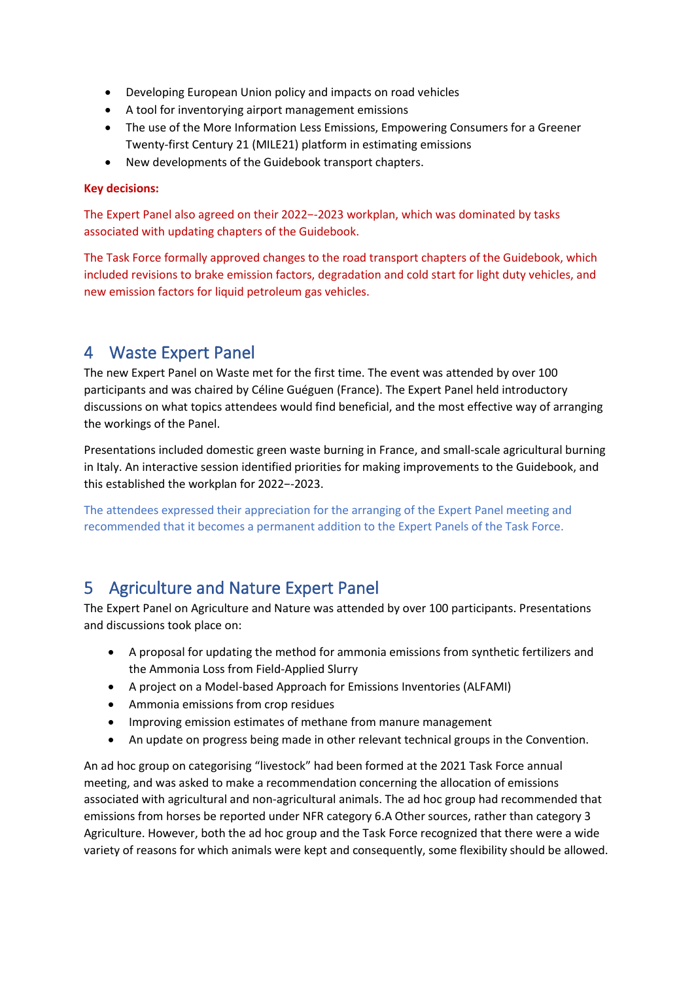- Developing European Union policy and impacts on road vehicles
- A tool for inventorying airport management emissions
- The use of the More Information Less Emissions, Empowering Consumers for a Greener Twenty-first Century 21 (MILE21) platform in estimating emissions
- New developments of the Guidebook transport chapters.

#### **Key decisions:**

The Expert Panel also agreed on their 2022−-2023 workplan, which was dominated by tasks associated with updating chapters of the Guidebook.

The Task Force formally approved changes to the road transport chapters of the Guidebook, which included revisions to brake emission factors, degradation and cold start for light duty vehicles, and new emission factors for liquid petroleum gas vehicles.

## 4 Waste Expert Panel

The new Expert Panel on Waste met for the first time. The event was attended by over 100 participants and was chaired by Céline Guéguen (France). The Expert Panel held introductory discussions on what topics attendees would find beneficial, and the most effective way of arranging the workings of the Panel.

Presentations included domestic green waste burning in France, and small-scale agricultural burning in Italy. An interactive session identified priorities for making improvements to the Guidebook, and this established the workplan for 2022−-2023.

The attendees expressed their appreciation for the arranging of the Expert Panel meeting and recommended that it becomes a permanent addition to the Expert Panels of the Task Force.

## 5 Agriculture and Nature Expert Panel

The Expert Panel on Agriculture and Nature was attended by over 100 participants. Presentations and discussions took place on:

- A proposal for updating the method for ammonia emissions from synthetic fertilizers and the Ammonia Loss from Field-Applied Slurry
- A project on a Model-based Approach for Emissions Inventories (ALFAMI)
- Ammonia emissions from crop residues
- Improving emission estimates of methane from manure management
- An update on progress being made in other relevant technical groups in the Convention.

An ad hoc group on categorising "livestock" had been formed at the 2021 Task Force annual meeting, and was asked to make a recommendation concerning the allocation of emissions associated with agricultural and non-agricultural animals. The ad hoc group had recommended that emissions from horses be reported under NFR category 6.A Other sources, rather than category 3 Agriculture. However, both the ad hoc group and the Task Force recognized that there were a wide variety of reasons for which animals were kept and consequently, some flexibility should be allowed.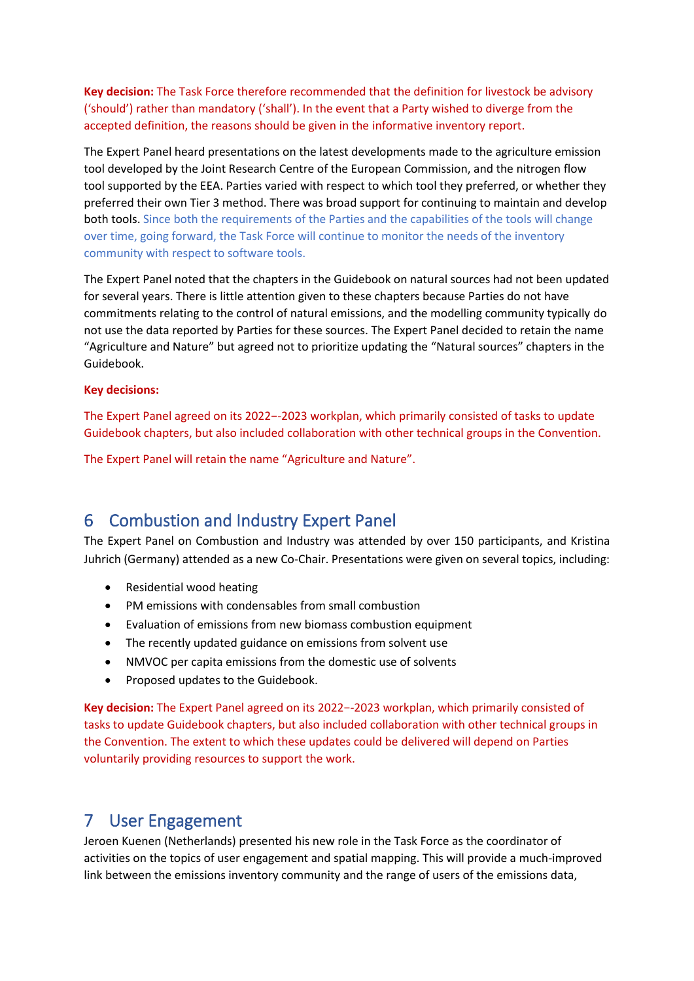**Key decision:** The Task Force therefore recommended that the definition for livestock be advisory ('should') rather than mandatory ('shall'). In the event that a Party wished to diverge from the accepted definition, the reasons should be given in the informative inventory report.

The Expert Panel heard presentations on the latest developments made to the agriculture emission tool developed by the Joint Research Centre of the European Commission, and the nitrogen flow tool supported by the EEA. Parties varied with respect to which tool they preferred, or whether they preferred their own Tier 3 method. There was broad support for continuing to maintain and develop both tools. Since both the requirements of the Parties and the capabilities of the tools will change over time, going forward, the Task Force will continue to monitor the needs of the inventory community with respect to software tools.

The Expert Panel noted that the chapters in the Guidebook on natural sources had not been updated for several years. There is little attention given to these chapters because Parties do not have commitments relating to the control of natural emissions, and the modelling community typically do not use the data reported by Parties for these sources. The Expert Panel decided to retain the name "Agriculture and Nature" but agreed not to prioritize updating the "Natural sources" chapters in the Guidebook.

#### **Key decisions:**

The Expert Panel agreed on its 2022−-2023 workplan, which primarily consisted of tasks to update Guidebook chapters, but also included collaboration with other technical groups in the Convention.

The Expert Panel will retain the name "Agriculture and Nature".

# 6 Combustion and Industry Expert Panel

The Expert Panel on Combustion and Industry was attended by over 150 participants, and Kristina Juhrich (Germany) attended as a new Co-Chair. Presentations were given on several topics, including:

- Residential wood heating
- PM emissions with condensables from small combustion
- Evaluation of emissions from new biomass combustion equipment
- The recently updated guidance on emissions from solvent use
- NMVOC per capita emissions from the domestic use of solvents
- Proposed updates to the Guidebook.

**Key decision:** The Expert Panel agreed on its 2022−-2023 workplan, which primarily consisted of tasks to update Guidebook chapters, but also included collaboration with other technical groups in the Convention. The extent to which these updates could be delivered will depend on Parties voluntarily providing resources to support the work.

## 7 User Engagement

Jeroen Kuenen (Netherlands) presented his new role in the Task Force as the coordinator of activities on the topics of user engagement and spatial mapping. This will provide a much-improved link between the emissions inventory community and the range of users of the emissions data,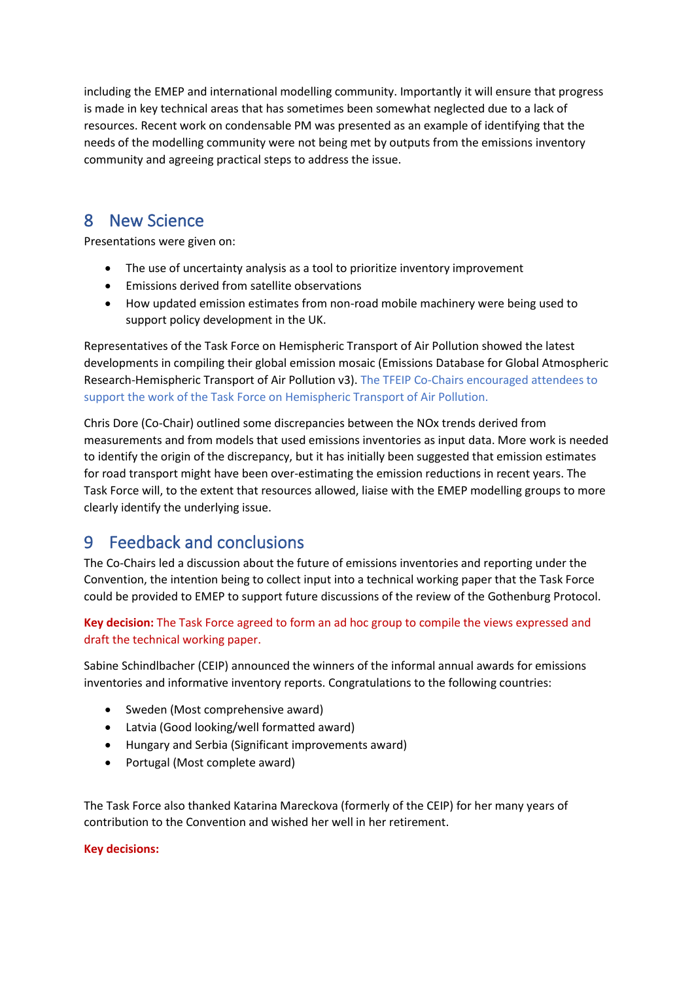including the EMEP and international modelling community. Importantly it will ensure that progress is made in key technical areas that has sometimes been somewhat neglected due to a lack of resources. Recent work on condensable PM was presented as an example of identifying that the needs of the modelling community were not being met by outputs from the emissions inventory community and agreeing practical steps to address the issue.

# 8 New Science

Presentations were given on:

- The use of uncertainty analysis as a tool to prioritize inventory improvement
- Emissions derived from satellite observations
- How updated emission estimates from non-road mobile machinery were being used to support policy development in the UK.

Representatives of the Task Force on Hemispheric Transport of Air Pollution showed the latest developments in compiling their global emission mosaic (Emissions Database for Global Atmospheric Research-Hemispheric Transport of Air Pollution v3). The TFEIP Co-Chairs encouraged attendees to support the work of the Task Force on Hemispheric Transport of Air Pollution.

Chris Dore (Co-Chair) outlined some discrepancies between the NOx trends derived from measurements and from models that used emissions inventories as input data. More work is needed to identify the origin of the discrepancy, but it has initially been suggested that emission estimates for road transport might have been over-estimating the emission reductions in recent years. The Task Force will, to the extent that resources allowed, liaise with the EMEP modelling groups to more clearly identify the underlying issue.

# 9 Feedback and conclusions

The Co-Chairs led a discussion about the future of emissions inventories and reporting under the Convention, the intention being to collect input into a technical working paper that the Task Force could be provided to EMEP to support future discussions of the review of the Gothenburg Protocol.

### **Key decision:** The Task Force agreed to form an ad hoc group to compile the views expressed and draft the technical working paper.

Sabine Schindlbacher (CEIP) announced the winners of the informal annual awards for emissions inventories and informative inventory reports. Congratulations to the following countries:

- Sweden (Most comprehensive award)
- Latvia (Good looking/well formatted award)
- Hungary and Serbia (Significant improvements award)
- Portugal (Most complete award)

The Task Force also thanked Katarina Mareckova (formerly of the CEIP) for her many years of contribution to the Convention and wished her well in her retirement.

#### **Key decisions:**